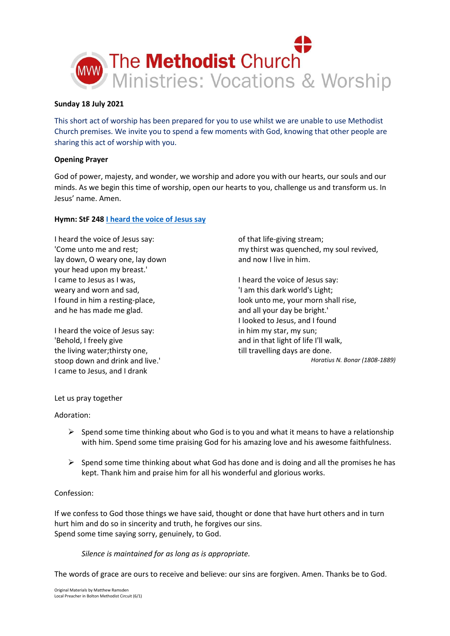

## **Sunday 18 July 2021**

This short act of worship has been prepared for you to use whilst we are unable to use Methodist Church premises. We invite you to spend a few moments with God, knowing that other people are sharing this act of worship with you.

# **Opening Prayer**

God of power, majesty, and wonder, we worship and adore you with our hearts, our souls and our minds. As we begin this time of worship, open our hearts to you, challenge us and transform us. In Jesus' name. Amen.

# **Hymn: StF 248 [I heard the voice of Jesus say](https://www.youtube.com/watch?v=8mXMQqiLW9c)**

I heard the voice of Jesus say: 'Come unto me and rest; lay down, O weary one, lay down your head upon my breast.' I came to Jesus as I was, weary and worn and sad, I found in him a resting-place, and he has made me glad.

I heard the voice of Jesus say: 'Behold, I freely give the living water;thirsty one, stoop down and drink and live.' I came to Jesus, and I drank

of that life-giving stream; my thirst was quenched, my soul revived, and now I live in him.

I heard the voice of Jesus say: 'I am this dark world's Light; look unto me, your morn shall rise, and all your day be bright.' I looked to Jesus, and I found in him my star, my sun; and in that light of life I'll walk, till travelling days are done. *Horatius N. Bonar (1808-1889)*

## Let us pray together

Adoration:

- $\triangleright$  Spend some time thinking about who God is to you and what it means to have a relationship with him. Spend some time praising God for his amazing love and his awesome faithfulness.
- $\triangleright$  Spend some time thinking about what God has done and is doing and all the promises he has kept. Thank him and praise him for all his wonderful and glorious works.

## Confession:

If we confess to God those things we have said, thought or done that have hurt others and in turn hurt him and do so in sincerity and truth, he forgives our sins. Spend some time saying sorry, genuinely, to God.

*Silence is maintained for as long as is appropriate.*

The words of grace are ours to receive and believe: our sins are forgiven. Amen. Thanks be to God.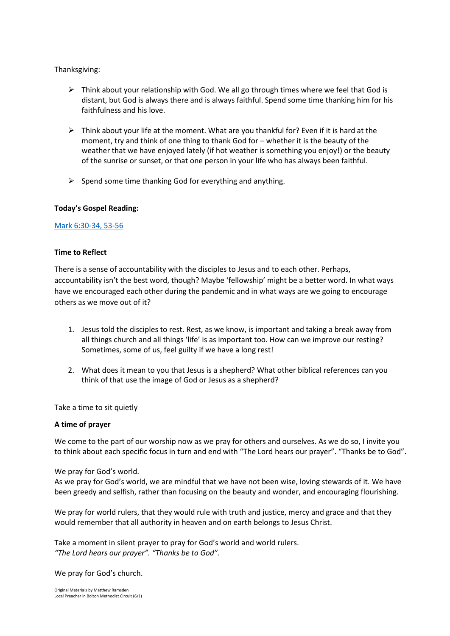Thanksgiving:

- $\triangleright$  Think about your relationship with God. We all go through times where we feel that God is distant, but God is always there and is always faithful. Spend some time thanking him for his faithfulness and his love.
- $\triangleright$  Think about your life at the moment. What are you thankful for? Even if it is hard at the moment, try and think of one thing to thank God for – whether it is the beauty of the weather that we have enjoyed lately (if hot weather is something you enjoy!) or the beauty of the sunrise or sunset, or that one person in your life who has always been faithful.
- $\triangleright$  Spend some time thanking God for everything and anything.

### **Today's Gospel Reading:**

## [Mark 6:30-34, 53-56](https://www.biblegateway.com/passage/?search=Mark+6%3A30-34%2C+53-56&version=NIV)

## **Time to Reflect**

There is a sense of accountability with the disciples to Jesus and to each other. Perhaps, accountability isn't the best word, though? Maybe 'fellowship' might be a better word. In what ways have we encouraged each other during the pandemic and in what ways are we going to encourage others as we move out of it?

- 1. Jesus told the disciples to rest. Rest, as we know, is important and taking a break away from all things church and all things 'life' is as important too. How can we improve our resting? Sometimes, some of us, feel guilty if we have a long rest!
- 2. What does it mean to you that Jesus is a shepherd? What other biblical references can you think of that use the image of God or Jesus as a shepherd?

Take a time to sit quietly

### **A time of prayer**

We come to the part of our worship now as we pray for others and ourselves. As we do so, I invite you to think about each specific focus in turn and end with "The Lord hears our prayer". "Thanks be to God".

### We pray for God's world.

As we pray for God's world, we are mindful that we have not been wise, loving stewards of it. We have been greedy and selfish, rather than focusing on the beauty and wonder, and encouraging flourishing.

We pray for world rulers, that they would rule with truth and justice, mercy and grace and that they would remember that all authority in heaven and on earth belongs to Jesus Christ.

Take a moment in silent prayer to pray for God's world and world rulers. *"The Lord hears our prayer". "Thanks be to God".*

We pray for God's church.